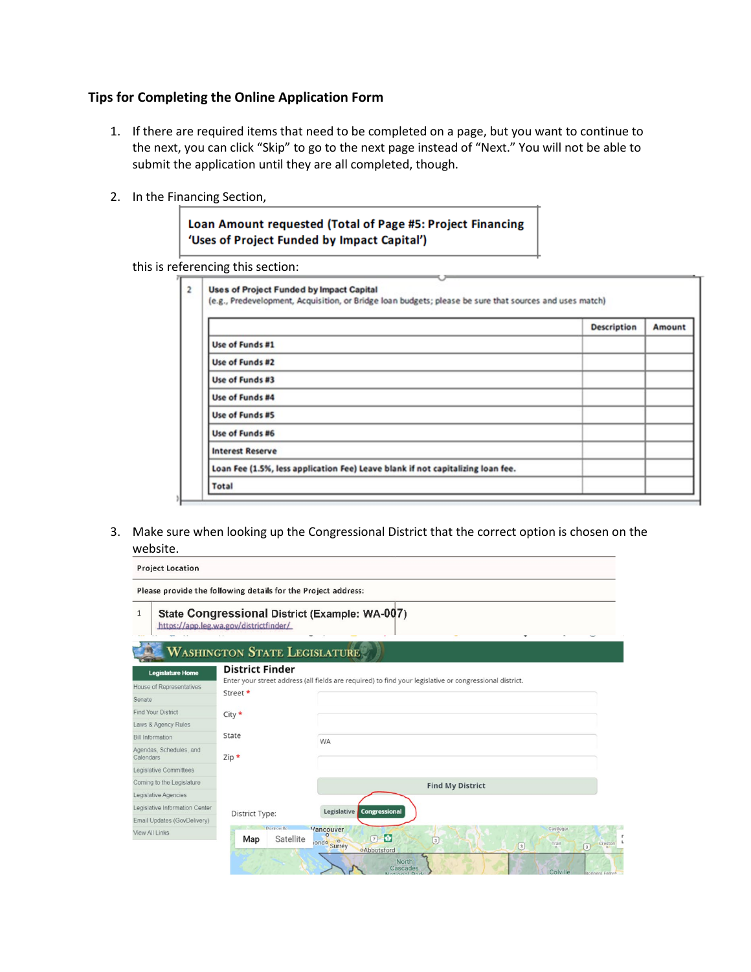## **Tips for Completing the Online Application Form**

- 1. If there are required items that need to be completed on a page, but you want to continue to the next, you can click "Skip" to go to the next page instead of "Next." You will not be able to submit the application until they are all completed, though.
- 2. In the Financing Section,

Loan Amount requested (Total of Page #5: Project Financing 'Uses of Project Funded by Impact Capital')

this is referencing this section:

|                                                                                 | <b>Description</b> | Amount |
|---------------------------------------------------------------------------------|--------------------|--------|
| Use of Funds #1                                                                 |                    |        |
| Use of Funds #2                                                                 |                    |        |
| Use of Funds #3                                                                 |                    |        |
| Use of Funds #4                                                                 |                    |        |
| Use of Funds #S                                                                 |                    |        |
| Use of Funds #6                                                                 |                    |        |
| <b>Interest Reserve</b>                                                         |                    |        |
| Loan Fee (1.5%, less application Fee) Leave blank if not capitalizing loan fee. |                    |        |

3. Make sure when looking up the Congressional District that the correct option is chosen on the website.

**Project Location** 

| $\mathbf{1}$                         | https://app.leg.wa.gov/districtfinder/ | State Congressional District (Example: WA-007)                                                                          |
|--------------------------------------|----------------------------------------|-------------------------------------------------------------------------------------------------------------------------|
|                                      | <b>WASHINGTON STATE LEGISLATURE</b>    |                                                                                                                         |
| <b>Legislature Home</b>              | <b>District Finder</b>                 |                                                                                                                         |
| <b>House of Representatives</b>      |                                        | Enter your street address (all fields are required) to find your legislative or congressional district.                 |
| Senate                               | Street *                               |                                                                                                                         |
| <b>Find Your District</b>            | $City *$                               |                                                                                                                         |
| Laws & Agency Rules                  |                                        |                                                                                                                         |
| <b>Bill Information</b>              | State                                  | <b>WA</b>                                                                                                               |
| Agendas, Schedules, and<br>Calendars | $Zip *$                                |                                                                                                                         |
| Legislative Committees               |                                        |                                                                                                                         |
| Coming to the Legislature            |                                        | <b>Find My District</b>                                                                                                 |
| Legislative Agencies                 |                                        |                                                                                                                         |
| Legislative Information Center       | District Type:                         | Legislative<br><b>Congressional</b>                                                                                     |
| Email Updates (GovDelivery)          |                                        |                                                                                                                         |
| <b>View All Links</b>                | <b>Parkeville</b><br>Satellite<br>Map  | <b>Vancouver</b><br>Castlegar<br>$7 - 1$<br>$\boxed{3}$<br>ondo Surrey<br>Trail<br>Creston<br>$\sqrt{3}$<br>$\boxed{3}$ |
|                                      |                                        | oAbbotsford<br>North<br>Cascades<br>Colville<br>Bonners Ferry o<br>Notional Dark                                        |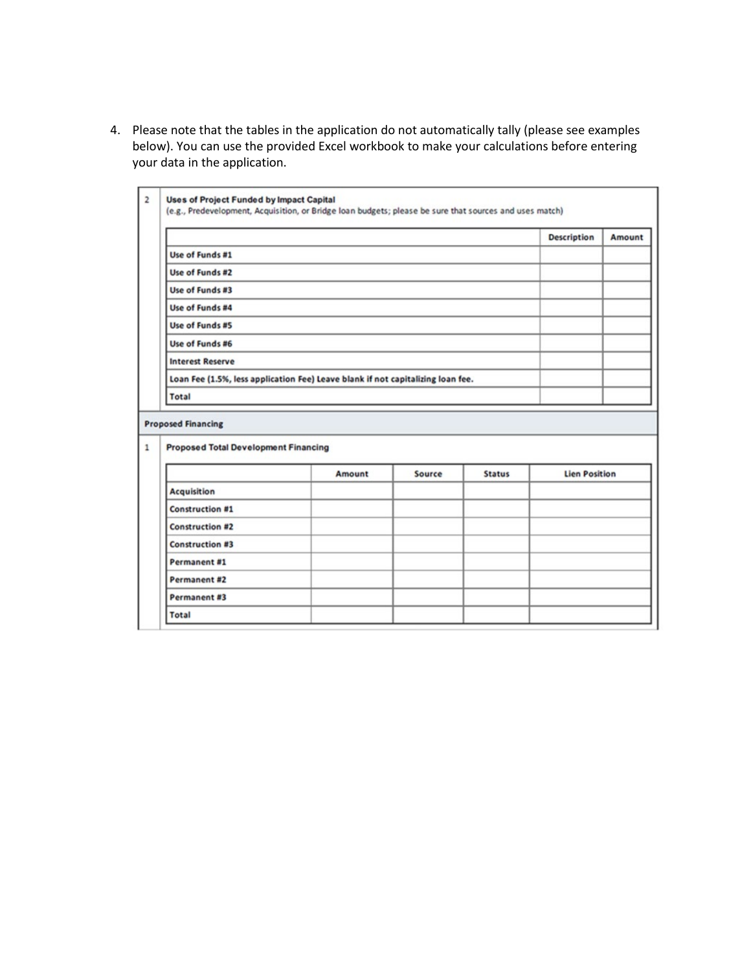4. Please note that the tables in the application do not automatically tally (please see examples below). You can use the provided Excel workbook to make your calculations before entering your data in the application.

|                                                                                 |        |        |               | <b>Description</b>   | Amount |
|---------------------------------------------------------------------------------|--------|--------|---------------|----------------------|--------|
| Use of Funds #1                                                                 |        |        |               |                      |        |
| Use of Funds #2                                                                 |        |        |               |                      |        |
| Use of Funds #3                                                                 |        |        |               |                      |        |
| Use of Funds #4                                                                 |        |        |               |                      |        |
| Use of Funds #5                                                                 |        |        |               |                      |        |
| Use of Funds #6                                                                 |        |        |               |                      |        |
| <b>Interest Reserve</b>                                                         |        |        |               |                      |        |
| Loan Fee (1.5%, less application Fee) Leave blank if not capitalizing loan fee. |        |        |               |                      |        |
| <b>Total</b>                                                                    |        |        |               |                      |        |
| <b>Proposed Financing</b>                                                       |        |        |               |                      |        |
|                                                                                 |        |        |               |                      |        |
| <b>Proposed Total Development Financing</b>                                     | Amount | Source | <b>Status</b> | <b>Lien Position</b> |        |
| <b>Acquisition</b>                                                              |        |        |               |                      |        |
| <b>Construction #1</b>                                                          |        |        |               |                      |        |
| <b>Construction #2</b>                                                          |        |        |               |                      |        |
| <b>Construction #3</b>                                                          |        |        |               |                      |        |
| Permanent #1                                                                    |        |        |               |                      |        |
| Permanent #2                                                                    |        |        |               |                      |        |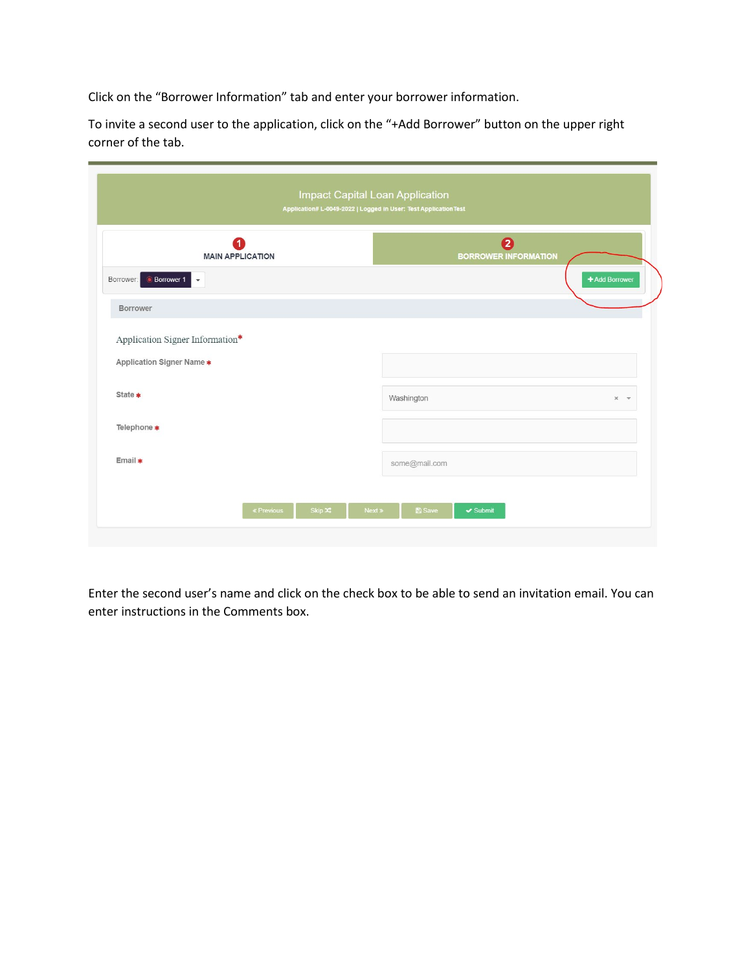Click on the "Borrower Information" tab and enter your borrower information.

To invite a second user to the application, click on the "+Add Borrower" button on the upper right corner of the tab.

|                                 | 1<br><b>MAIN APPLICATION</b> |  |               | $\boldsymbol{a}$<br><b>BORROWER INFORMATION</b> |               |         |
|---------------------------------|------------------------------|--|---------------|-------------------------------------------------|---------------|---------|
| <b>Borrower 1</b><br>Borrower:  |                              |  |               |                                                 | +Add Borrower |         |
| Borrower                        |                              |  |               |                                                 |               |         |
| Application Signer Information* |                              |  |               |                                                 |               |         |
| Application Signer Name *       |                              |  |               |                                                 |               |         |
| State *                         |                              |  | Washington    |                                                 |               | $x - r$ |
| Telephone *                     |                              |  |               |                                                 |               |         |
| Email *                         |                              |  | some@mail.com |                                                 |               |         |
|                                 |                              |  |               |                                                 |               |         |

Enter the second user's name and click on the check box to be able to send an invitation email. You can enter instructions in the Comments box.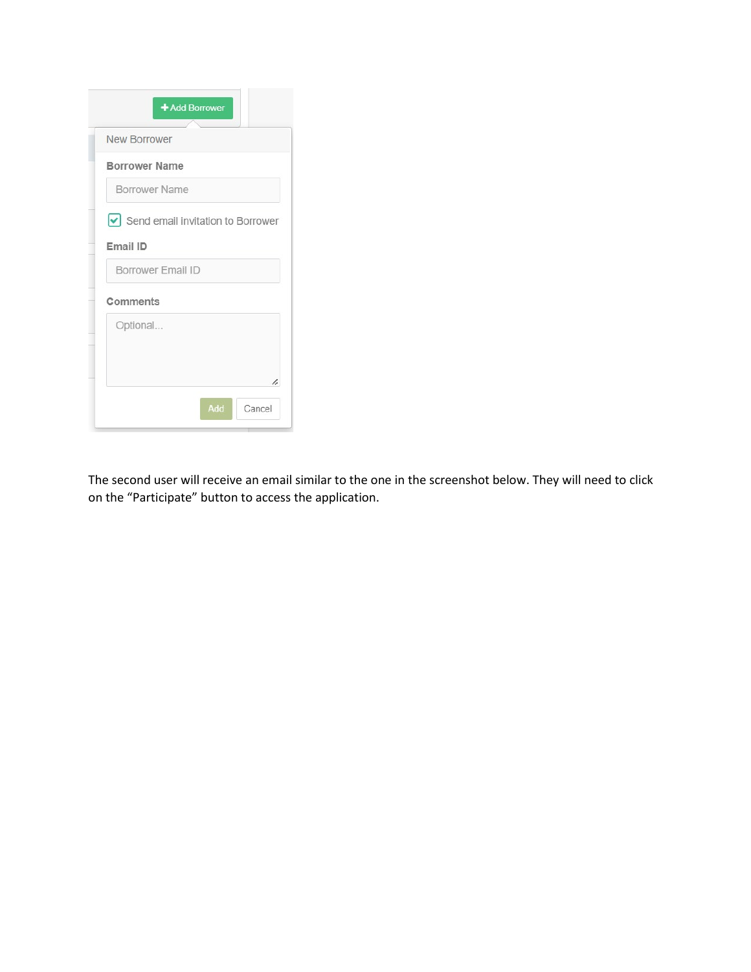|                      | <b>New Borrower</b>                                |
|----------------------|----------------------------------------------------|
| <b>Borrower Name</b> |                                                    |
| <b>Borrower Name</b> |                                                    |
|                      | $\triangleright$ Send email invitation to Borrower |
| Email ID             |                                                    |
| Borrower Email ID    |                                                    |
| Comments             |                                                    |
|                      |                                                    |
| Optional             |                                                    |
|                      |                                                    |

The second user will receive an email similar to the one in the screenshot below. They will need to click on the "Participate" button to access the application.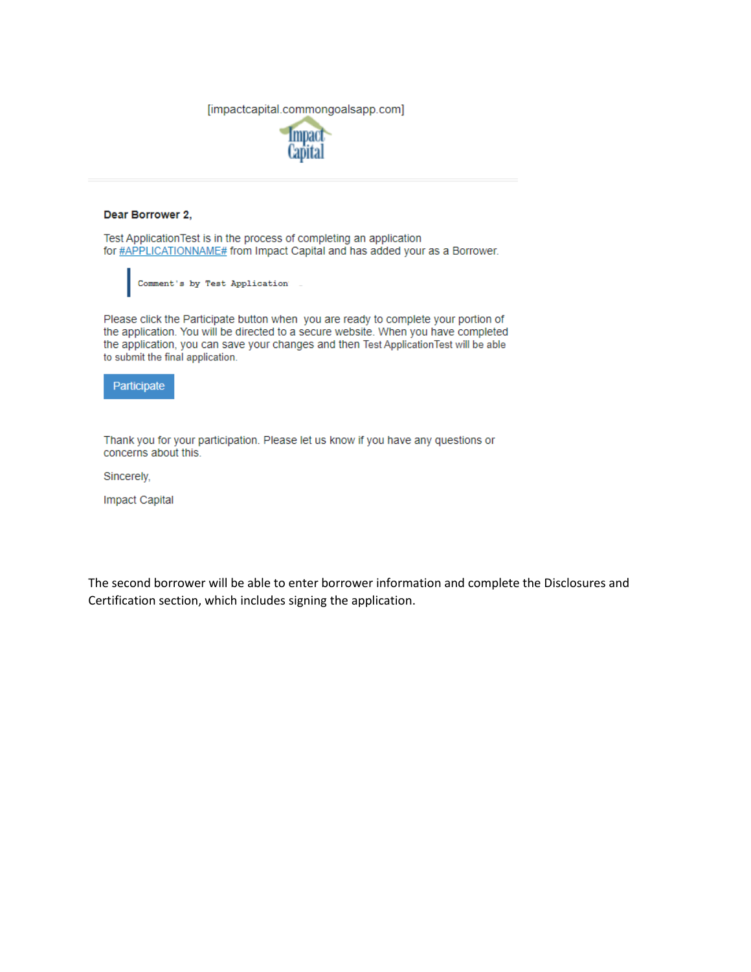[impactcapital.commongoalsapp.com]



## Dear Borrower 2,

Test Application Test is in the process of completing an application for #APPLICATIONNAME# from Impact Capital and has added your as a Borrower.

Comment's by Test Application

Please click the Participate button when you are ready to complete your portion of the application. You will be directed to a secure website. When you have completed the application, you can save your changes and then Test ApplicationTest will be able to submit the final application.



Thank you for your participation. Please let us know if you have any questions or concerns about this.

Sincerely,

**Impact Capital** 

The second borrower will be able to enter borrower information and complete the Disclosures and Certification section, which includes signing the application.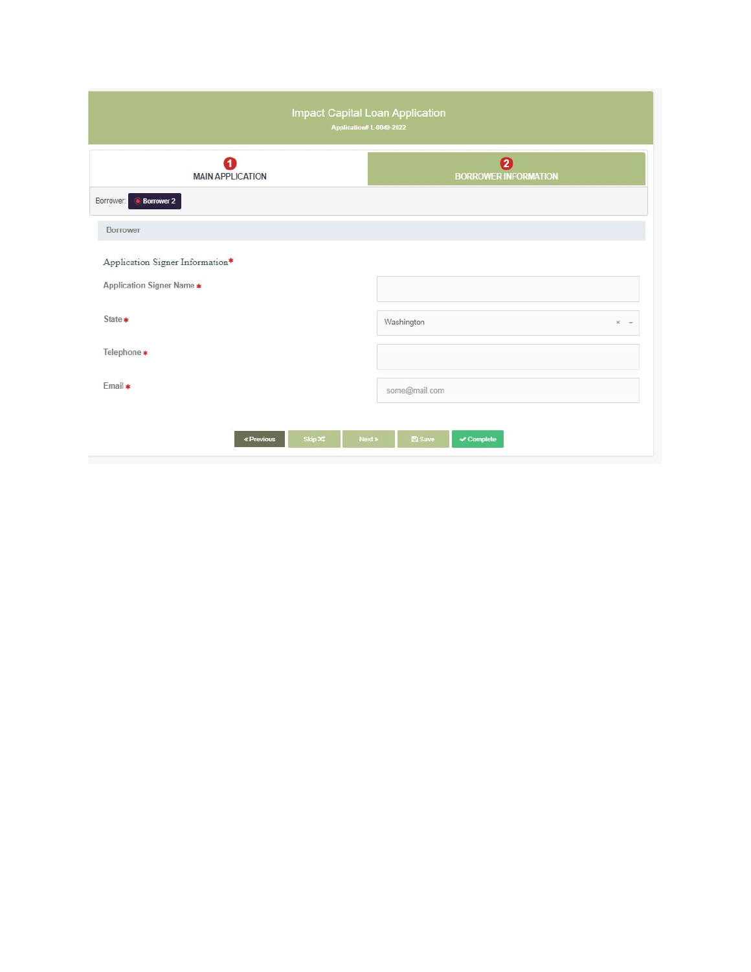| Impact Capital Loan Application<br>Application# L-0049-2022 |                                                 |  |  |  |
|-------------------------------------------------------------|-------------------------------------------------|--|--|--|
| $\overline{\mathbf{1}}$<br><b>MAIN APPLICATION</b>          | Ø<br><b>BORROWER INFORMATION</b>                |  |  |  |
| <b>Borrower 2</b><br>Borrower:                              |                                                 |  |  |  |
| Borrower                                                    |                                                 |  |  |  |
| Application Signer Information*                             |                                                 |  |  |  |
| Application Signer Name *                                   |                                                 |  |  |  |
| State *                                                     | Washington<br>$x -$                             |  |  |  |
| Telephone *                                                 |                                                 |  |  |  |
| Email *                                                     | some@mail.com                                   |  |  |  |
| Skip X<br>Next »<br>« Previous                              | <b>图 Save</b><br>$\blacktriangleright$ Complete |  |  |  |